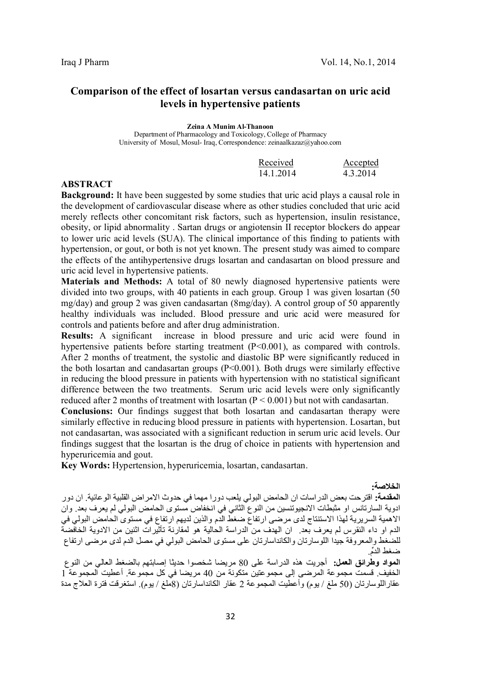# **Comparison of the effect of losartan versus candasartan on uric acid levels in hypertensive patients**

**Zeina A Munim Al-Thanoon**  Department of Pharmacology and Toxicology, College of Pharmacy University of Mosul, Mosul- Iraq, Correspondence: zeinaalkazaz@yahoo.com

| Received  | Accepted |
|-----------|----------|
| 14.1.2014 | 4 3 2014 |

#### **ABSTRACT**

**Background:** It have been suggested by some studies that uric acid plays a causal role in the development of cardiovascular disease where as other studies concluded that uric acid merely reflects other concomitant risk factors, such as hypertension, insulin resistance, obesity, or lipid abnormality . Sartan drugs or angiotensin II receptor blockers do appear to lower uric acid levels (SUA). The clinical importance of this finding to patients with hypertension, or gout, or both is not yet known. The present study was aimed to compare the effects of the antihypertensive drugs losartan and candasartan on blood pressure and uric acid level in hypertensive patients.

**Materials and Methods:** A total of 80 newly diagnosed hypertensive patients were divided into two groups, with 40 patients in each group. Group 1 was given losartan (50 mg/day) and group 2 was given candasartan (8mg/day). A control group of 50 apparently healthy individuals was included. Blood pressure and uric acid were measured for controls and patients before and after drug administration.

**Results:** A significant increase in blood pressure and uric acid were found in hypertensive patients before starting treatment  $(P< 0.001)$ , as compared with controls. After 2 months of treatment, the systolic and diastolic BP were significantly reduced in the both losartan and candasartan groups  $(P<0.001)$ . Both drugs were similarly effective in reducing the blood pressure in patients with hypertension with no statistical significant difference between the two treatments. Serum uric acid levels were only significantly reduced after 2 months of treatment with losartan (P < 0.001) but not with candasartan.

**Conclusions:** Our findings suggest that both losartan and candasartan therapy were similarly effective in reducing blood pressure in patients with hypertension. Losartan, but not candasartan, was associated with a significant reduction in serum uric acid levels. Our findings suggest that the losartan is the drug of choice in patients with hypertension and hyperuricemia and gout.

**Key Words:** Hypertension, hyperuricemia, losartan, candasartan.

**الخلاصة:** 

**المقدمة:** اقترحت بعض الدراسات ان الحامض البولي یلعب دورا مھما في حدوث الامراض القلبیة الوعائیة. ان دور ادویة السارتانس او مثبطات الانجیوتنسین من النوع الثاني في انخفاض مستوى الحامض البولي لم یعرف بعد. وان الاھمیة السریریة لھذا الاستنتاج لدى مرضى ارتفاع ضغط الدم والذین لدیھم ارتفاع في مستوى الحامض البولي في الدم او داء النقرس لم یعرف بعد. ان الھدف من الدراسة الحالیة ھو لمقارنة تأثیرات اثنین من الادویة الخافضة للضغط والمعروفة جیدا اللوسارتان والكانداسارتان على مستوى الحامضِ البولي في مصل الدم لدى مرضى ارتفاع ضغط الدمِّ .

**المواد وطرائق العمل:** أجریت ھذه الدراسة على 80 مریضا شخصوا حدیثا إصابتھم بالضغط العالي من النوع الخفیف. قسمت مجموعة المرضى إلى مجموعتین متكونة من 40 مریضا في كل مجموعة. أعطیت المجموعة 1 عقاراللوسارتان (50 ملغ / یوم) وأعطیت المجموعة 2 عقار الكانداسارتان (8ملغ / یوم). استغرقت فترة العلاج مدة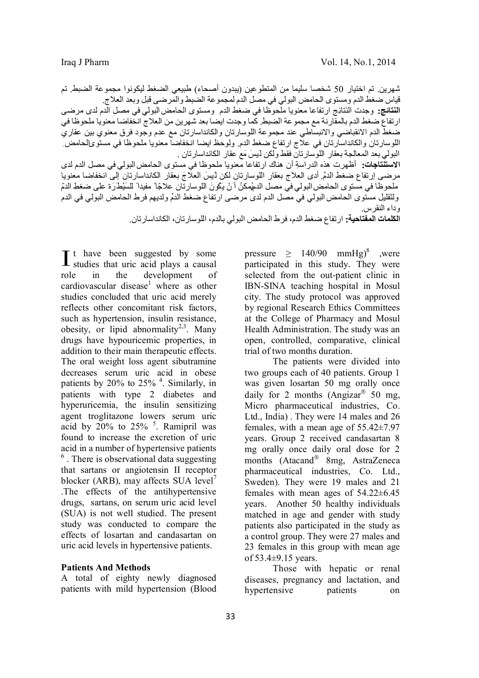شھرین. تم اختیار 50 شخصا سلیما من المتطوعین (یبدون أصحاء) طبیعي الضغط لیكونوا مجموعة الضبط. تم قیاس ضغط الدم ومستوى الحامضِ البولي في مصل الدم لمجموعة الضبط والمرضى قبل وبعد العلاج. **النتائج:** وجدت النَتائِج ارتفاعا معنویا ملحوظا في ضغط الدم ومستوى الحامضِ البوليِ في مصل الدم لدى مرضى ارتفاع ضغط الدم بالمقارنة مع مجموعة الضبط. كما وجدت ایضا بعد شھرین من العلاج انخفاضا معنویا ملحوظا في ضغط الدم الانقباضي والانبساطي عند مجموعة اللوسارتان والكانداسارتان مع عدم وجود فرق معنوي بین عقاري اللوسارتان والكانداسارتان في علاج ارتفاع ضغط الدم. ولوحظ ایضا انخفاضا معنویا ملحوظا في مستوى الحامض ِ البوليِ بعد المعالجة بعقار اللوسارتان فقط ولكن لَیسَ مَع عقار الكانداسارتان . **الاستنتاجات:** أظھرت ھذه الدراسةِ أن ھناك ارتفاعا معنویا ملحوظا في مستوى الحامضِ البوليِ في مصل الدم لدى مرضى إرتفاع ضغط الدمَّ . أدى العلاج بعقار اللوسارتان لكن لَیسَ العلاجَ بعقار الكانداسارتان إلى انخفاضا معنویا ملحوظا في مستوى الحامضِ البولي في مصل الدميُمكنُ أ َنْ یَكُونَ اللوسارتان علاجّا ً مفیدا ً للسَیْطَرَة على ضغطِ الدمّ ولتَقلیل مستوى الحامضِ البولي في مصل الدم لدى مرضى ارتفاع ضغط الدمِّ ولدیھم فرط الحامض البولي في الدم وداء النقرس. **الكلمات المفتاحیة:** ارتفاع ضغط الدم، فرط الحامض البولي بالدم، اللوسارتان، الكانداسارتان.

t have been suggested by some  $\int$  t have been suggested by some studies that uric acid plays a causal role in the development of cardiovascular disease<sup>1</sup> where as other studies concluded that uric acid merely reflects other concomitant risk factors, such as hypertension, insulin resistance, obesity, or lipid abnormality<sup>2,3</sup>. Many drugs have hypouricemic properties, in addition to their main therapeutic effects. The oral weight loss agent sibutramine decreases serum uric acid in obese patients by 20% to 25%<sup>4</sup>. Similarly, in patients with type 2 diabetes and hyperuricemia, the insulin sensitizing agent troglitazone lowers serum uric acid by  $20\%$  to  $25\%$  <sup>5</sup>. Ramipril was found to increase the excretion of uric acid in a number of hypertensive patients <sup>6</sup>. There is observational data suggesting that sartans or angiotensin II receptor blocker (ARB), may affects SUA level<sup>7</sup> .The effects of the antihypertensive drugs, sartans, on serum uric acid level (SUA) is not well studied. The present study was conducted to compare the effects of losartan and candasartan on uric acid levels in hypertensive patients.

#### **Patients And Methods**

A total of eighty newly diagnosed patients with mild hypertension (Blood pressure  $\geq$  140/90 mmHg)<sup>8</sup> ,were participated in this study. They were selected from the out-patient clinic in IBN-SINA teaching hospital in Mosul city. The study protocol was approved by regional Research Ethics Committees at the College of Pharmacy and Mosul Health Administration. The study was an open, controlled, comparative, clinical trial of two months duration.

The patients were divided into two groups each of 40 patients. Group 1 was given losartan 50 mg orally once daily for 2 months (Angizar® 50 mg, Micro pharmaceutical industries, Co. Ltd., India) . They were 14 males and 26 females, with a mean age of 55.42±7.97 years. Group 2 received candasartan 8 mg orally once daily oral dose for 2 months (Atacand® 8mg, AstraZeneca pharmaceutical industries, Co. Ltd., Sweden). They were 19 males and 21 females with mean ages of 54.22±6.45 years. Another 50 healthy individuals matched in age and gender with study patients also participated in the study as a control group. They were 27 males and 23 females in this group with mean age of 53.4±9.15 years.

Those with hepatic or renal diseases, pregnancy and lactation, and hypertensive patients on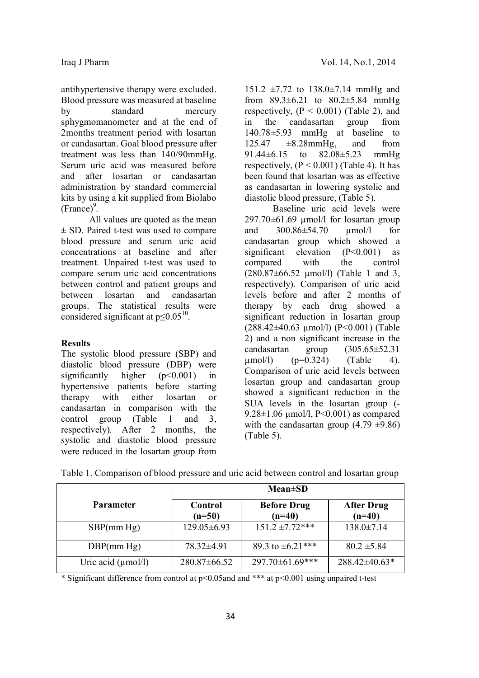antihypertensive therapy were excluded. Blood pressure was measured at baseline by standard mercury sphygmomanometer and at the end of 2months treatment period with losartan or candasartan. Goal blood pressure after treatment was less than 140/90mmHg. Serum uric acid was measured before and after losartan or candasartan administration by standard commercial kits by using a kit supplied from Biolabo  $(France)^9$ .

All values are quoted as the mean  $\pm$  SD. Paired t-test was used to compare blood pressure and serum uric acid concentrations at baseline and after treatment. Unpaired t-test was used to compare serum uric acid concentrations between control and patient groups and between losartan and candasartan groups. The statistical results were considered significant at  $p \leq 0.05^{10}$ .

## **Results**

The systolic blood pressure (SBP) and diastolic blood pressure (DBP) were significantly higher  $(p<0.001)$  in hypertensive patients before starting therapy with either losartan or candasartan in comparison with the control group (Table 1 and 3, respectively). After 2 months, the systolic and diastolic blood pressure were reduced in the losartan group from 151.2 ±7.72 to 138.0±7.14 mmHg and from 89.3±6.21 to 80.2±5.84 mmHg respectively,  $(P < 0.001)$  (Table 2), and in the candasartan group from 140.78±5.93 mmHg at baseline to  $125.47 \pm 8.28$ mmHg, and from 91.44±6.15 to 82.08±5.23 mmHg respectively,  $(P < 0.001)$  (Table 4). It has been found that losartan was as effective as candasartan in lowering systolic and diastolic blood pressure, (Table 5).

Baseline uric acid levels were  $297.70\pm61.69$  µmol/l for losartan group and  $300.86 \pm 54.70$   $\mu$ mol/l for candasartan group which showed a significant elevation (P<0.001) as compared with the control  $(280.87\pm66.52 \text{ µmol/l})$  (Table 1 and 3, respectively). Comparison of uric acid levels before and after 2 months of therapy by each drug showed a significant reduction in losartan group (288.42±40.63 µmol/l) (P<0.001) (Table 2) and a non significant increase in the candasartan group (305.65±52.31  $\mu$ mol/l) (p=0.324) (Table 4). Comparison of uric acid levels between losartan group and candasartan group showed a significant reduction in the SUA levels in the losartan group (- 9.28 $\pm$ 1.06  $\mu$ mol/l, P<0.001) as compared with the candasartan group  $(4.79 \pm 9.86)$ (Table 5).

|                         | <b>Mean</b> ±SD     |                                |                               |
|-------------------------|---------------------|--------------------------------|-------------------------------|
| <b>Parameter</b>        | Control<br>$(n=50)$ | <b>Before Drug</b><br>$(n=40)$ | <b>After Drug</b><br>$(n=40)$ |
| SBP(mm Hg)              | $129.05\pm6.93$     | $151.2 \pm 7.72$ ***           | $138.0 \pm 7.14$              |
| DBP(mm Hg)              | 78.32±4.91          | 89.3 to $\pm 6.21$ ***         | $80.2 \pm 5.84$               |
| Uric acid $(\mu$ mol/l) | $280.87\pm 66.52$   | 297.70±61.69***                | 288.42±40.63*                 |

Table 1. Comparison of blood pressure and uric acid between control and losartan group

\* Significant difference from control at p<0.05and and \*\*\* at p<0.001 using unpaired t-test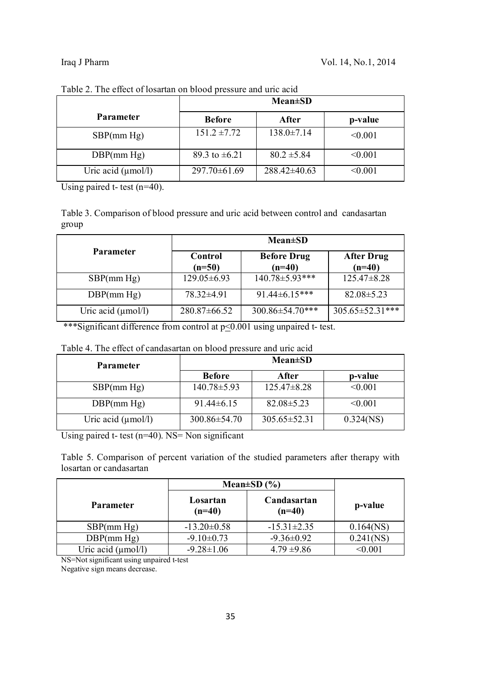|                         | $Mean \pm SD$      |                  |         |
|-------------------------|--------------------|------------------|---------|
| Parameter               | <b>Before</b>      | After            | p-value |
| SBP(mm Hg)              | $151.2 \pm 7.72$   | $138.0 \pm 7.14$ | < 0.001 |
| DBP(mm Hg)              | 89.3 to $\pm 6.21$ | $80.2 \pm 5.84$  | < 0.001 |
| Uric acid $(\mu$ mol/l) | $297.70 \pm 61.69$ | $288.42\pm40.63$ | < 0.001 |

Table 2. The effect of losartan on blood pressure and uric acid

Using paired t- test (n=40).

Table 3. Comparison of blood pressure and uric acid between control and candasartan group

|                         | <b>Mean</b> ±SD     |                                |                               |
|-------------------------|---------------------|--------------------------------|-------------------------------|
| <b>Parameter</b>        | Control<br>$(n=50)$ | <b>Before Drug</b><br>$(n=40)$ | <b>After Drug</b><br>$(n=40)$ |
| SBP(mm Hg)              | $129.05\pm6.93$     | 140.78±5.93***                 | $125.47\pm8.28$               |
| DBP(mm Hg)              | 78.32±4.91          | $91.44 \pm 6.15$ ***           | $82.08 \pm 5.23$              |
| Uric acid $(\mu$ mol/l) | $280.87\pm 66.52$   | 300.86±54.70***                | $305.65 \pm 52.31$ ***        |

\*\*\*Significant difference from control at  $p \le 0.001$  using unpaired t- test.

| Table 4. The effect of candasartan on blood pressure and uric acid |
|--------------------------------------------------------------------|
|--------------------------------------------------------------------|

| <b>Parameter</b>        | $Mean \pm SD$      |                    |           |
|-------------------------|--------------------|--------------------|-----------|
|                         | <b>Before</b>      | After              | p-value   |
| SBP(mm Hg)              | $140.78 \pm 5.93$  | $125.47\pm8.28$    | < 0.001   |
| DBP(mm Hg)              | $91.44\pm 6.15$    | $82.08 \pm 5.23$   | < 0.001   |
| Uric acid $(\mu$ mol/l) | $300.86 \pm 54.70$ | $305.65 \pm 52.31$ | 0.324(NS) |

Using paired t- test (n=40). NS= Non significant

Table 5. Comparison of percent variation of the studied parameters after therapy with losartan or candasartan

|                         | Mean $\pm SD(%)$     |                         |              |
|-------------------------|----------------------|-------------------------|--------------|
| <b>Parameter</b>        | Losartan<br>$(n=40)$ | Candasartan<br>$(n=40)$ | p-value      |
| SBP(mm Hg)              | $-13.20 \pm 0.58$    | $-15.31 \pm 2.35$       | $0.164$ (NS) |
| DBP(mm Hg)              | $-9.10 \pm 0.73$     | $-9.36 \pm 0.92$        | $0.241$ (NS) |
| Uric acid $(\mu$ mol/l) | $-9.28 \pm 1.06$     | $4.79 \pm 9.86$         | < 0.001      |

NS=Not significant using unpaired t-test

Negative sign means decrease.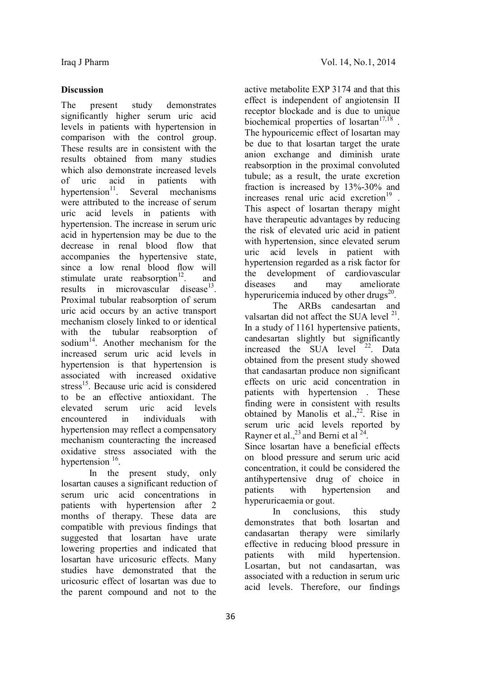# **Discussion**

The present study demonstrates significantly higher serum uric acid levels in patients with hypertension in comparison with the control group. These results are in consistent with the results obtained from many studies which also demonstrate increased levels of uric acid in patients with hypertension $11$ . . Several mechanisms were attributed to the increase of serum uric acid levels in patients with hypertension. The increase in serum uric acid in hypertension may be due to the decrease in renal blood flow that accompanies the hypertensive state, since a low renal blood flow will stimulate urate reabsorption<sup>12</sup>. . and results in microvascular disease<sup>13</sup>. Proximal tubular reabsorption of serum uric acid occurs by an active transport mechanism closely linked to or identical with the tubular reabsorption of sodium<sup>14</sup>. Another mechanism for the increased serum uric acid levels in hypertension is that hypertension is associated with increased oxidative stress<sup>15</sup>. Because uric acid is considered to be an effective antioxidant. The elevated serum uric acid levels encountered in individuals with hypertension may reflect a compensatory mechanism counteracting the increased oxidative stress associated with the hypertension  $16$ .

In the present study, only losartan causes a significant reduction of serum uric acid concentrations in patients with hypertension after 2 months of therapy. These data are compatible with previous findings that suggested that losartan have urate lowering properties and indicated that losartan have uricosuric effects. Many studies have demonstrated that the uricosuric effect of losartan was due to the parent compound and not to the

active metabolite EXP 3174 and that this effect is independent of angiotensin II receptor blockade and is due to unique biochemical properties of losartan $17,18$ . The hypouricemic effect of losartan may be due to that losartan target the urate anion exchange and diminish urate reabsorption in the proximal convoluted tubule; as a result, the urate excretion fraction is increased by 13%-30% and increases renal uric acid excretion<sup>19</sup>. This aspect of losartan therapy might have therapeutic advantages by reducing the risk of elevated uric acid in patient with hypertension, since elevated serum uric acid levels in patient with hypertension regarded as a risk factor for the development of cardiovascular diseases and may ameliorate hyperuricemia induced by other drugs $^{20}$ .

The ARBs candesartan and valsartan did not affect the SUA level  $2<sup>1</sup>$ . In a study of 1161 hypertensive patients, candesartan slightly but significantly increased the SUA level <sup>22</sup>. Data obtained from the present study showed that candasartan produce non significant effects on uric acid concentration in patients with hypertension . These finding were in consistent with results obtained by Manolis et al.,<sup>22</sup>. Rise in serum uric acid levels reported by Rayner et al.,  $^{23}$  and Berni et al<sup>24</sup>.

Since losartan have a beneficial effects on blood pressure and serum uric acid concentration, it could be considered the antihypertensive drug of choice in patients with hypertension and hyperuricaemia or gout.

In conclusions, this study demonstrates that both losartan and candasartan therapy were similarly effective in reducing blood pressure in patients with mild hypertension. Losartan, but not candasartan, was associated with a reduction in serum uric acid levels. Therefore, our findings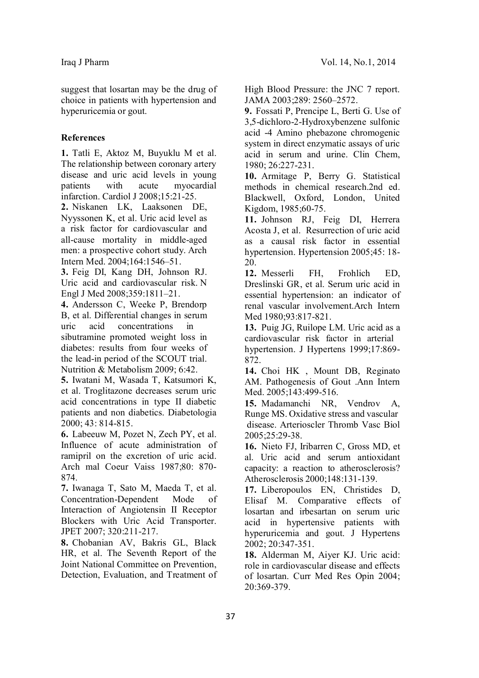suggest that losartan may be the drug of choice in patients with hypertension and hyperuricemia or gout.

## **References**

**1.** Tatli E, Aktoz M, Buyuklu M et al. The relationship between coronary artery disease and uric acid levels in young patients with acute myocardial infarction. Cardiol J 2008;15:21-25.

**2.** Niskanen LK, Laaksonen DE, Nyyssonen K, et al. Uric acid level as a risk factor for cardiovascular and all-cause mortality in middle-aged men: a prospective cohort study. Arch Intern Med. 2004;164:1546–51.

**3.** Feig DI, Kang DH, Johnson RJ. Uric acid and cardiovascular risk. N Engl J Med 2008;359:1811–21.

**4.** Andersson C, Weeke P, Brendorp B, et al. Differential changes in serum uric acid concentrations in sibutramine promoted weight loss in diabetes: results from four weeks of the lead-in period of the SCOUT trial. Nutrition & Metabolism 2009; 6:42.

**5.** Iwatani M, Wasada T, Katsumori K, et al. Troglitazone decreases serum uric acid concentrations in type II diabetic patients and non diabetics. Diabetologia 2000; 43: 814-815.

**6.** Labeeuw M, Pozet N, Zech PY, et al. Influence of acute administration of ramipril on the excretion of uric acid. Arch mal Coeur Vaiss 1987;80: 870- 874.

**7.** Iwanaga T, Sato M, Maeda T, et al. Concentration-Dependent Mode of Interaction of Angiotensin II Receptor Blockers with Uric Acid Transporter. JPET 2007; 320:211-217.

**8.** Chobanian AV, Bakris GL, Black HR, et al. The Seventh Report of the Joint National Committee on Prevention, Detection, Evaluation, and Treatment of High Blood Pressure: the JNC 7 report. JAMA 2003;289: 2560–2572.

**9.** Fossati P, Prencipe L, Berti G. Use of 3,5-dichloro-2-Hydroxybenzene sulfonic acid -4 Amino phebazone chromogenic system in direct enzymatic assays of uric acid in serum and urine. Clin Chem, 1980; 26:227-231.

**10.** Armitage P, Berry G. Statistical methods in chemical research.2nd ed. Blackwell, Oxford, London, United Kigdom, 1985;60-75.

**11.** Johnson RJ, Feig DI, Herrera Acosta J, et al. Resurrection of uric acid as a causal risk factor in essential hypertension. Hypertension 2005;45: 18- 20.

**12.** Messerli FH, Frohlich ED, Dreslinski GR, et al. Serum uric acid in essential hypertension: an indicator of renal vascular involvement.Arch Intern Med 1980;93:817-821.

**13.** Puig JG, Ruilope LM. Uric acid as a cardiovascular risk factor in arterial hypertension. J Hypertens 1999;17:869- 872.

**14.** Choi HK , Mount DB, Reginato AM. Pathogenesis of Gout .Ann Intern Med. 2005;143:499-516.

**15.** Madamanchi NR, Vendrov A, Runge MS. Oxidative stress and vascular disease. Arterioscler Thromb Vasc Biol 2005;25:29-38.

**16.** Nieto FJ, Iribarren C, Gross MD, et al. Uric acid and serum antioxidant capacity: a reaction to atherosclerosis? Atherosclerosis 2000;148:131-139.

**17.** Liberopoulos EN, Christides D, Elisaf M. Comparative effects of losartan and irbesartan on serum uric acid in hypertensive patients with hyperuricemia and gout. J Hypertens 2002; 20:347-351.

**18.** Alderman M, Aiyer KJ. Uric acid: role in cardiovascular disease and effects of losartan. Curr Med Res Opin 2004; 20:369-379.